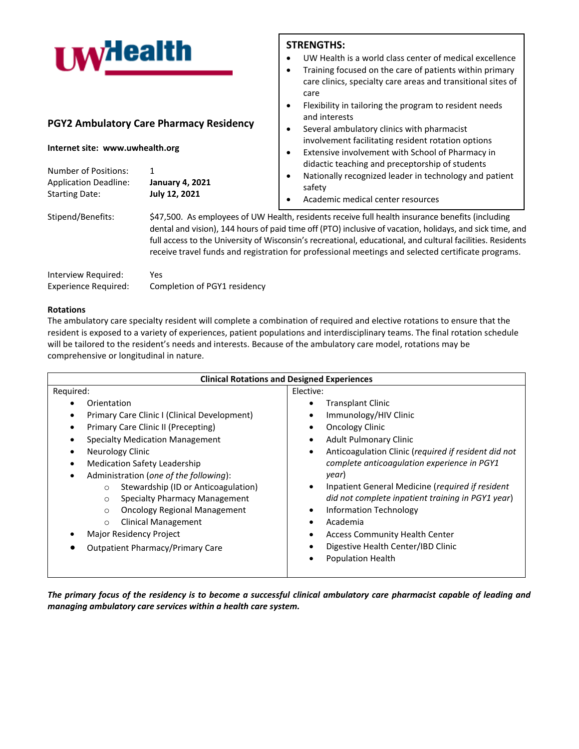| <b>I</b> My <sub>dealth</sub>                                                        |                                                     | <b>STRENGTHS:</b><br>UW Health is a world class center of medical excellence<br>Training focused on the care of patients within primary<br>care clinics, specialty care areas and transitional sites of<br>care<br>Flexibility in tailoring the program to resident needs |
|--------------------------------------------------------------------------------------|-----------------------------------------------------|---------------------------------------------------------------------------------------------------------------------------------------------------------------------------------------------------------------------------------------------------------------------------|
| <b>PGY2 Ambulatory Care Pharmacy Residency</b><br>Internet site: www.uwhealth.org    |                                                     | and interests<br>Several ambulatory clinics with pharmacist<br>involvement facilitating resident rotation options<br>Extensive involvement with School of Pharmacy in                                                                                                     |
| <b>Number of Positions:</b><br><b>Application Deadline:</b><br><b>Starting Date:</b> | 1<br><b>January 4, 2021</b><br><b>July 12, 2021</b> | didactic teaching and preceptorship of students<br>Nationally recognized leader in technology and patient<br>safety<br>Academic medical center resources                                                                                                                  |
| Stipend/Benefits:                                                                    |                                                     | \$47,500. As employees of UW Health, residents receive full health insurance benefits (including<br>المستقطعة المساوية والمستقطعة المستقطعة والمستقطعة المتقادمة الألمان والمتحدث والمستقطعة المستقطعة المستقطعة المستقطع                                                 |

dental and vision), 144 hours of paid time off (PTO) inclusive of vacation, holidays, and sick time, and full access to the University of Wisconsin's recreational, educational, and cultural facilities. Residents receive travel funds and registration for professional meetings and selected certificate programs.

| Interview Required:         | Yes                          |
|-----------------------------|------------------------------|
| <b>Experience Required:</b> | Completion of PGY1 residency |

# **Rotations**

The ambulatory care specialty resident will complete a combination of required and elective rotations to ensure that the resident is exposed to a variety of experiences, patient populations and interdisciplinary teams. The final rotation schedule will be tailored to the resident's needs and interests. Because of the ambulatory care model, rotations may be comprehensive or longitudinal in nature.

| <b>Clinical Rotations and Designed Experiences</b>                                                                                                                                                                                                                                                                                                                                                                                                                                                                      |                                                                                                                                                                                                                                                                                                                                                                                                                                                                                                                                             |  |  |  |
|-------------------------------------------------------------------------------------------------------------------------------------------------------------------------------------------------------------------------------------------------------------------------------------------------------------------------------------------------------------------------------------------------------------------------------------------------------------------------------------------------------------------------|---------------------------------------------------------------------------------------------------------------------------------------------------------------------------------------------------------------------------------------------------------------------------------------------------------------------------------------------------------------------------------------------------------------------------------------------------------------------------------------------------------------------------------------------|--|--|--|
| Required:                                                                                                                                                                                                                                                                                                                                                                                                                                                                                                               | Elective:                                                                                                                                                                                                                                                                                                                                                                                                                                                                                                                                   |  |  |  |
| Orientation<br>Primary Care Clinic I (Clinical Development)<br>Primary Care Clinic II (Precepting)<br><b>Specialty Medication Management</b><br>Neurology Clinic<br><b>Medication Safety Leadership</b><br>Administration (one of the following):<br>Stewardship (ID or Anticoagulation)<br>$\circ$<br><b>Specialty Pharmacy Management</b><br>$\circ$<br><b>Oncology Regional Management</b><br>$\circ$<br><b>Clinical Management</b><br>$\circ$<br>Major Residency Project<br><b>Outpatient Pharmacy/Primary Care</b> | <b>Transplant Clinic</b><br>Immunology/HIV Clinic<br>٠<br><b>Oncology Clinic</b><br><b>Adult Pulmonary Clinic</b><br>Anticoagulation Clinic (required if resident did not<br>$\bullet$<br>complete anticoagulation experience in PGY1<br>year)<br>Inpatient General Medicine (required if resident<br>$\bullet$<br>did not complete inpatient training in PGY1 year)<br><b>Information Technology</b><br>Academia<br>٠<br><b>Access Community Health Center</b><br>٠<br>Digestive Health Center/IBD Clinic<br>٠<br><b>Population Health</b> |  |  |  |

*The primary focus of the residency is to become a successful clinical ambulatory care pharmacist capable of leading and managing ambulatory care services within a health care system.*